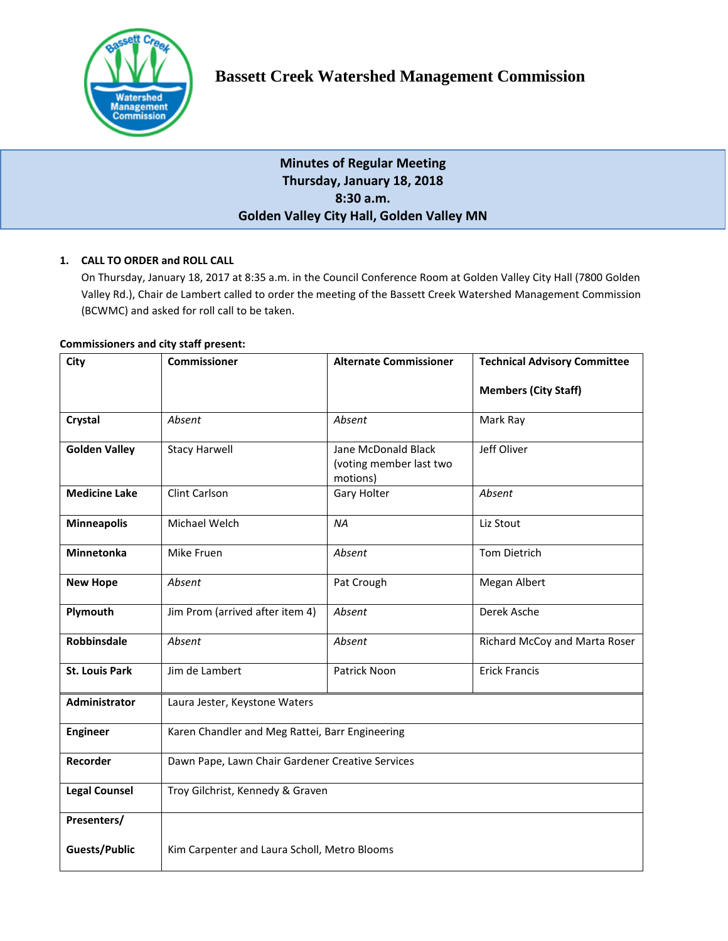

# **Minutes of Regular Meeting Thursday, January 18, 2018 8:30 a.m. Golden Valley City Hall, Golden Valley MN**

# **1. CALL TO ORDER and ROLL CALL**

On Thursday, January 18, 2017 at 8:35 a.m. in the Council Conference Room at Golden Valley City Hall (7800 Golden Valley Rd.), Chair de Lambert called to order the meeting of the Bassett Creek Watershed Management Commission (BCWMC) and asked for roll call to be taken.

# **Commissioners and city staff present:**

| City                  | <b>Commissioner</b>                              | <b>Alternate Commissioner</b>                              | <b>Technical Advisory Committee</b> |
|-----------------------|--------------------------------------------------|------------------------------------------------------------|-------------------------------------|
|                       |                                                  |                                                            | <b>Members (City Staff)</b>         |
| Crystal               | Absent                                           | Absent                                                     | Mark Ray                            |
| <b>Golden Valley</b>  | <b>Stacy Harwell</b>                             | Jane McDonald Black<br>(voting member last two<br>motions) | Jeff Oliver                         |
| <b>Medicine Lake</b>  | Clint Carlson                                    | Gary Holter                                                | Absent                              |
| <b>Minneapolis</b>    | Michael Welch                                    | <b>NA</b>                                                  | Liz Stout                           |
| <b>Minnetonka</b>     | Mike Fruen                                       | Absent                                                     | <b>Tom Dietrich</b>                 |
| <b>New Hope</b>       | Absent                                           | Pat Crough                                                 | Megan Albert                        |
| Plymouth              | Jim Prom (arrived after item 4)                  | Absent                                                     | Derek Asche                         |
| <b>Robbinsdale</b>    | Absent                                           | Absent                                                     | Richard McCoy and Marta Roser       |
| <b>St. Louis Park</b> | Jim de Lambert                                   | Patrick Noon                                               | <b>Erick Francis</b>                |
| Administrator         | Laura Jester, Keystone Waters                    |                                                            |                                     |
| <b>Engineer</b>       | Karen Chandler and Meg Rattei, Barr Engineering  |                                                            |                                     |
| Recorder              | Dawn Pape, Lawn Chair Gardener Creative Services |                                                            |                                     |
| <b>Legal Counsel</b>  | Troy Gilchrist, Kennedy & Graven                 |                                                            |                                     |
| Presenters/           |                                                  |                                                            |                                     |
| <b>Guests/Public</b>  | Kim Carpenter and Laura Scholl, Metro Blooms     |                                                            |                                     |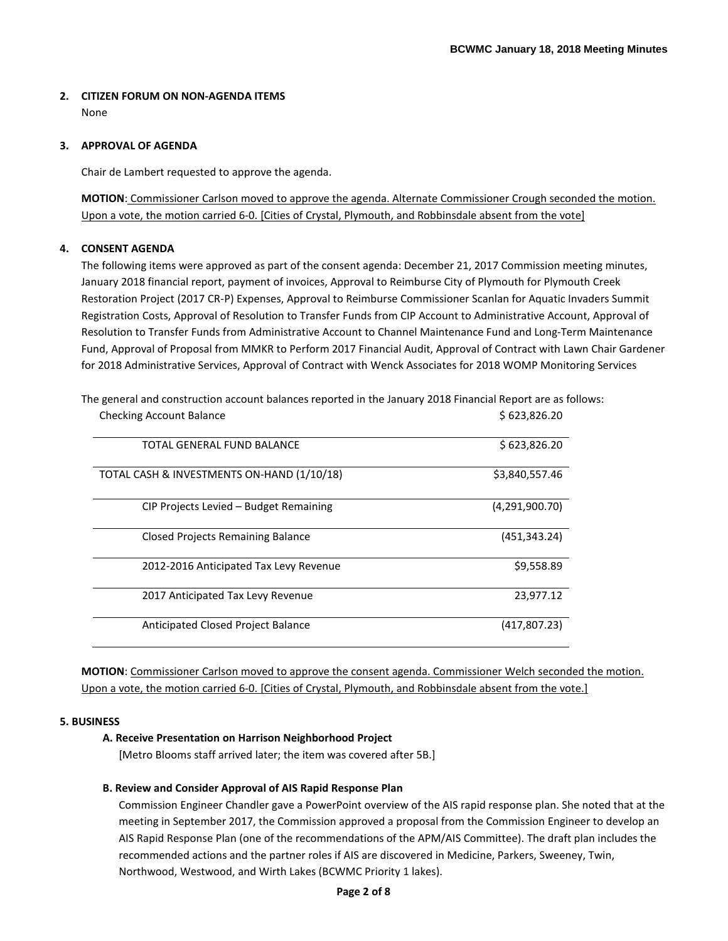# **2. CITIZEN FORUM ON NON-AGENDA ITEMS**

None

## **3. APPROVAL OF AGENDA**

Chair de Lambert requested to approve the agenda.

**MOTION**: Commissioner Carlson moved to approve the agenda. Alternate Commissioner Crough seconded the motion. Upon a vote, the motion carried 6-0. [Cities of Crystal, Plymouth, and Robbinsdale absent from the vote]

# **4. CONSENT AGENDA**

The following items were approved as part of the consent agenda: December 21, 2017 Commission meeting minutes, January 2018 financial report, payment of invoices, Approval to Reimburse City of Plymouth for Plymouth Creek Restoration Project (2017 CR-P) Expenses, Approval to Reimburse Commissioner Scanlan for Aquatic Invaders Summit Registration Costs, Approval of Resolution to Transfer Funds from CIP Account to Administrative Account, Approval of Resolution to Transfer Funds from Administrative Account to Channel Maintenance Fund and Long-Term Maintenance Fund, Approval of Proposal from MMKR to Perform 2017 Financial Audit, Approval of Contract with Lawn Chair Gardener for 2018 Administrative Services, Approval of Contract with Wenck Associates for 2018 WOMP Monitoring Services

| <b>Checking Account Balance</b>            | \$623,826.20   |
|--------------------------------------------|----------------|
| <b>TOTAL GENERAL FUND BALANCE</b>          | \$623,826.20   |
| TOTAL CASH & INVESTMENTS ON-HAND (1/10/18) | \$3,840,557.46 |
| CIP Projects Levied – Budget Remaining     | (4,291,900.70) |
| <b>Closed Projects Remaining Balance</b>   | (451, 343.24)  |
| 2012-2016 Anticipated Tax Levy Revenue     | \$9,558.89     |
| 2017 Anticipated Tax Levy Revenue          | 23,977.12      |
| Anticipated Closed Project Balance         | (417,807.23)   |

The general and construction account balances reported in the January 2018 Financial Report are as follows:

**MOTION**: Commissioner Carlson moved to approve the consent agenda. Commissioner Welch seconded the motion. Upon a vote, the motion carried 6-0. [Cities of Crystal, Plymouth, and Robbinsdale absent from the vote.]

### **5. BUSINESS**

### **A. Receive Presentation on Harrison Neighborhood Project**

[Metro Blooms staff arrived later; the item was covered after 5B.]

# **B. Review and Consider Approval of AIS Rapid Response Plan**

Commission Engineer Chandler gave a PowerPoint overview of the AIS rapid response plan. She noted that at the meeting in September 2017, the Commission approved a proposal from the Commission Engineer to develop an AIS Rapid Response Plan (one of the recommendations of the APM/AIS Committee). The draft plan includes the recommended actions and the partner roles if AIS are discovered in Medicine, Parkers, Sweeney, Twin, Northwood, Westwood, and Wirth Lakes (BCWMC Priority 1 lakes).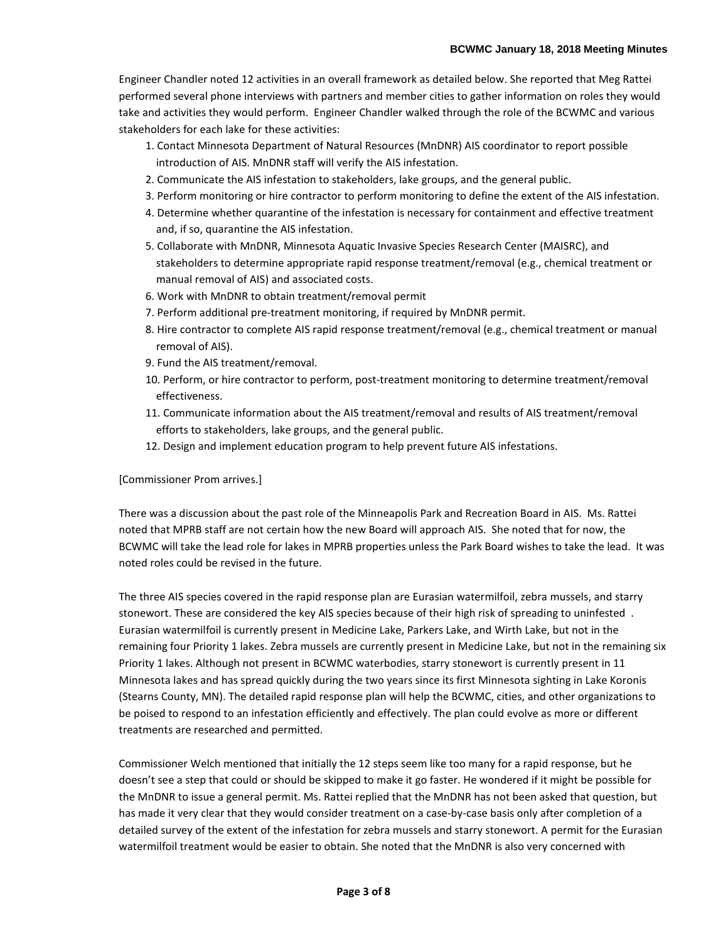Engineer Chandler noted 12 activities in an overall framework as detailed below. She reported that Meg Rattei performed several phone interviews with partners and member cities to gather information on roles they would take and activities they would perform. Engineer Chandler walked through the role of the BCWMC and various stakeholders for each lake for these activities:

- 1. Contact Minnesota Department of Natural Resources (MnDNR) AIS coordinator to report possible introduction of AIS. MnDNR staff will verify the AIS infestation.
- 2. Communicate the AIS infestation to stakeholders, lake groups, and the general public.
- 3. Perform monitoring or hire contractor to perform monitoring to define the extent of the AIS infestation.
- 4. Determine whether quarantine of the infestation is necessary for containment and effective treatment and, if so, quarantine the AIS infestation.
- 5. Collaborate with MnDNR, Minnesota Aquatic Invasive Species Research Center (MAISRC), and stakeholders to determine appropriate rapid response treatment/removal (e.g., chemical treatment or manual removal of AIS) and associated costs.
- 6. Work with MnDNR to obtain treatment/removal permit
- 7. Perform additional pre-treatment monitoring, if required by MnDNR permit.
- 8. Hire contractor to complete AIS rapid response treatment/removal (e.g., chemical treatment or manual removal of AIS).
- 9. Fund the AIS treatment/removal.
- 10. Perform, or hire contractor to perform, post-treatment monitoring to determine treatment/removal effectiveness.
- 11. Communicate information about the AIS treatment/removal and results of AIS treatment/removal efforts to stakeholders, lake groups, and the general public.
- 12. Design and implement education program to help prevent future AIS infestations.

#### [Commissioner Prom arrives.]

There was a discussion about the past role of the Minneapolis Park and Recreation Board in AIS. Ms. Rattei noted that MPRB staff are not certain how the new Board will approach AIS. She noted that for now, the BCWMC will take the lead role for lakes in MPRB properties unless the Park Board wishes to take the lead. It was noted roles could be revised in the future.

The three AIS species covered in the rapid response plan are Eurasian watermilfoil, zebra mussels, and starry stonewort. These are considered the key AIS species because of their high risk of spreading to uninfested . Eurasian watermilfoil is currently present in Medicine Lake, Parkers Lake, and Wirth Lake, but not in the remaining four Priority 1 lakes. Zebra mussels are currently present in Medicine Lake, but not in the remaining six Priority 1 lakes. Although not present in BCWMC waterbodies, starry stonewort is currently present in 11 Minnesota lakes and has spread quickly during the two years since its first Minnesota sighting in Lake Koronis (Stearns County, MN). The detailed rapid response plan will help the BCWMC, cities, and other organizations to be poised to respond to an infestation efficiently and effectively. The plan could evolve as more or different treatments are researched and permitted.

Commissioner Welch mentioned that initially the 12 steps seem like too many for a rapid response, but he doesn't see a step that could or should be skipped to make it go faster. He wondered if it might be possible for the MnDNR to issue a general permit. Ms. Rattei replied that the MnDNR has not been asked that question, but has made it very clear that they would consider treatment on a case-by-case basis only after completion of a detailed survey of the extent of the infestation for zebra mussels and starry stonewort. A permit for the Eurasian watermilfoil treatment would be easier to obtain. She noted that the MnDNR is also very concerned with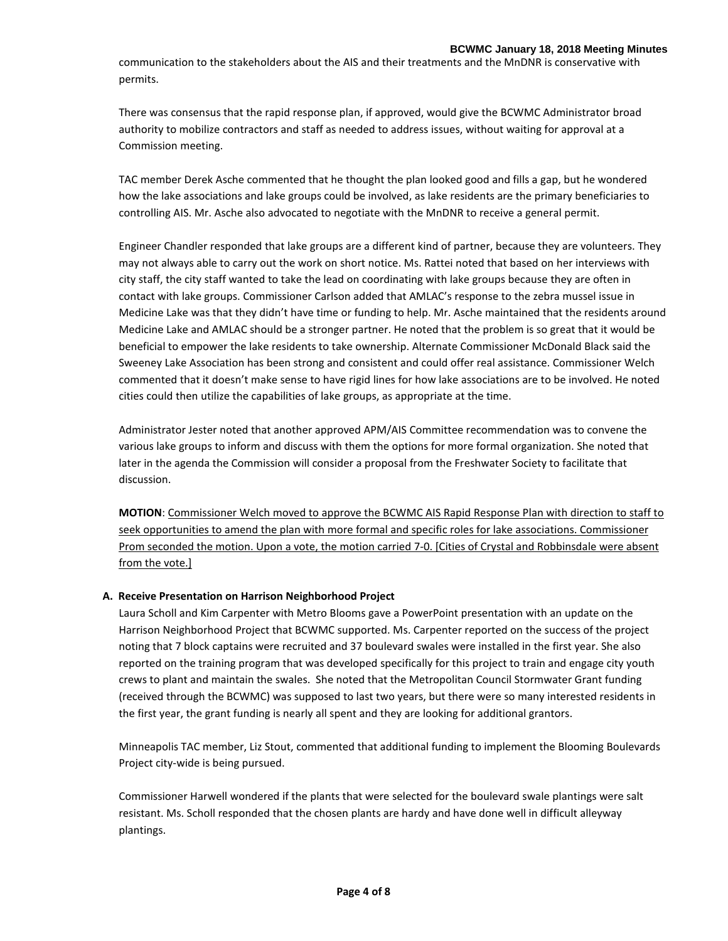communication to the stakeholders about the AIS and their treatments and the MnDNR is conservative with permits.

There was consensus that the rapid response plan, if approved, would give the BCWMC Administrator broad authority to mobilize contractors and staff as needed to address issues, without waiting for approval at a Commission meeting.

TAC member Derek Asche commented that he thought the plan looked good and fills a gap, but he wondered how the lake associations and lake groups could be involved, as lake residents are the primary beneficiaries to controlling AIS. Mr. Asche also advocated to negotiate with the MnDNR to receive a general permit.

Engineer Chandler responded that lake groups are a different kind of partner, because they are volunteers. They may not always able to carry out the work on short notice. Ms. Rattei noted that based on her interviews with city staff, the city staff wanted to take the lead on coordinating with lake groups because they are often in contact with lake groups. Commissioner Carlson added that AMLAC's response to the zebra mussel issue in Medicine Lake was that they didn't have time or funding to help. Mr. Asche maintained that the residents around Medicine Lake and AMLAC should be a stronger partner. He noted that the problem is so great that it would be beneficial to empower the lake residents to take ownership. Alternate Commissioner McDonald Black said the Sweeney Lake Association has been strong and consistent and could offer real assistance. Commissioner Welch commented that it doesn't make sense to have rigid lines for how lake associations are to be involved. He noted cities could then utilize the capabilities of lake groups, as appropriate at the time.

Administrator Jester noted that another approved APM/AIS Committee recommendation was to convene the various lake groups to inform and discuss with them the options for more formal organization. She noted that later in the agenda the Commission will consider a proposal from the Freshwater Society to facilitate that discussion.

**MOTION**: Commissioner Welch moved to approve the BCWMC AIS Rapid Response Plan with direction to staff to seek opportunities to amend the plan with more formal and specific roles for lake associations. Commissioner Prom seconded the motion. Upon a vote, the motion carried 7-0. [Cities of Crystal and Robbinsdale were absent from the vote.]

### **A. Receive Presentation on Harrison Neighborhood Project**

Laura Scholl and Kim Carpenter with Metro Blooms gave a PowerPoint presentation with an update on the Harrison Neighborhood Project that BCWMC supported. Ms. Carpenter reported on the success of the project noting that 7 block captains were recruited and 37 boulevard swales were installed in the first year. She also reported on the training program that was developed specifically for this project to train and engage city youth crews to plant and maintain the swales. She noted that the Metropolitan Council Stormwater Grant funding (received through the BCWMC) was supposed to last two years, but there were so many interested residents in the first year, the grant funding is nearly all spent and they are looking for additional grantors.

Minneapolis TAC member, Liz Stout, commented that additional funding to implement the Blooming Boulevards Project city-wide is being pursued.

Commissioner Harwell wondered if the plants that were selected for the boulevard swale plantings were salt resistant. Ms. Scholl responded that the chosen plants are hardy and have done well in difficult alleyway plantings.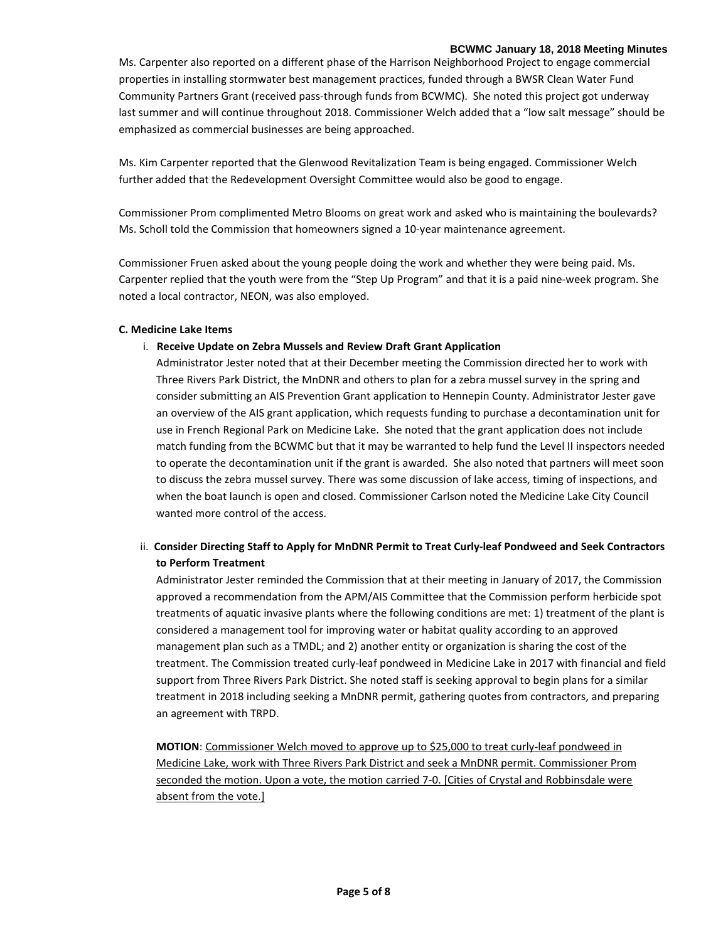#### **BCWMC January 18, 2018 Meeting Minutes**

Ms. Carpenter also reported on a different phase of the Harrison Neighborhood Project to engage commercial properties in installing stormwater best management practices, funded through a BWSR Clean Water Fund Community Partners Grant (received pass-through funds from BCWMC). She noted this project got underway last summer and will continue throughout 2018. Commissioner Welch added that a "low salt message" should be emphasized as commercial businesses are being approached.

Ms. Kim Carpenter reported that the Glenwood Revitalization Team is being engaged. Commissioner Welch further added that the Redevelopment Oversight Committee would also be good to engage.

Commissioner Prom complimented Metro Blooms on great work and asked who is maintaining the boulevards? Ms. Scholl told the Commission that homeowners signed a 10-year maintenance agreement.

Commissioner Fruen asked about the young people doing the work and whether they were being paid. Ms. Carpenter replied that the youth were from the "Step Up Program" and that it is a paid nine-week program. She noted a local contractor, NEON, was also employed.

### **C. Medicine Lake Items**

## i. **Receive Update on Zebra Mussels and Review Draft Grant Application**

 Administrator Jester noted that at their December meeting the Commission directed her to work with Three Rivers Park District, the MnDNR and others to plan for a zebra mussel survey in the spring and consider submitting an AIS Prevention Grant application to Hennepin County. Administrator Jester gave an overview of the AIS grant application, which requests funding to purchase a decontamination unit for use in French Regional Park on Medicine Lake. She noted that the grant application does not include match funding from the BCWMC but that it may be warranted to help fund the Level II inspectors needed to operate the decontamination unit if the grant is awarded. She also noted that partners will meet soon to discuss the zebra mussel survey. There was some discussion of lake access, timing of inspections, and when the boat launch is open and closed. Commissioner Carlson noted the Medicine Lake City Council wanted more control of the access.

# ii. **Consider Directing Staff to Apply for MnDNR Permit to Treat Curly-leaf Pondweed and Seek Contractors to Perform Treatment**

Administrator Jester reminded the Commission that at their meeting in January of 2017, the Commission approved a recommendation from the APM/AIS Committee that the Commission perform herbicide spot treatments of aquatic invasive plants where the following conditions are met: 1) treatment of the plant is considered a management tool for improving water or habitat quality according to an approved management plan such as a TMDL; and 2) another entity or organization is sharing the cost of the treatment. The Commission treated curly-leaf pondweed in Medicine Lake in 2017 with financial and field support from Three Rivers Park District. She noted staff is seeking approval to begin plans for a similar treatment in 2018 including seeking a MnDNR permit, gathering quotes from contractors, and preparing an agreement with TRPD.

**MOTION**: Commissioner Welch moved to approve up to \$25,000 to treat curly-leaf pondweed in Medicine Lake, work with Three Rivers Park District and seek a MnDNR permit. Commissioner Prom seconded the motion. Upon a vote, the motion carried 7-0. [Cities of Crystal and Robbinsdale were absent from the vote.]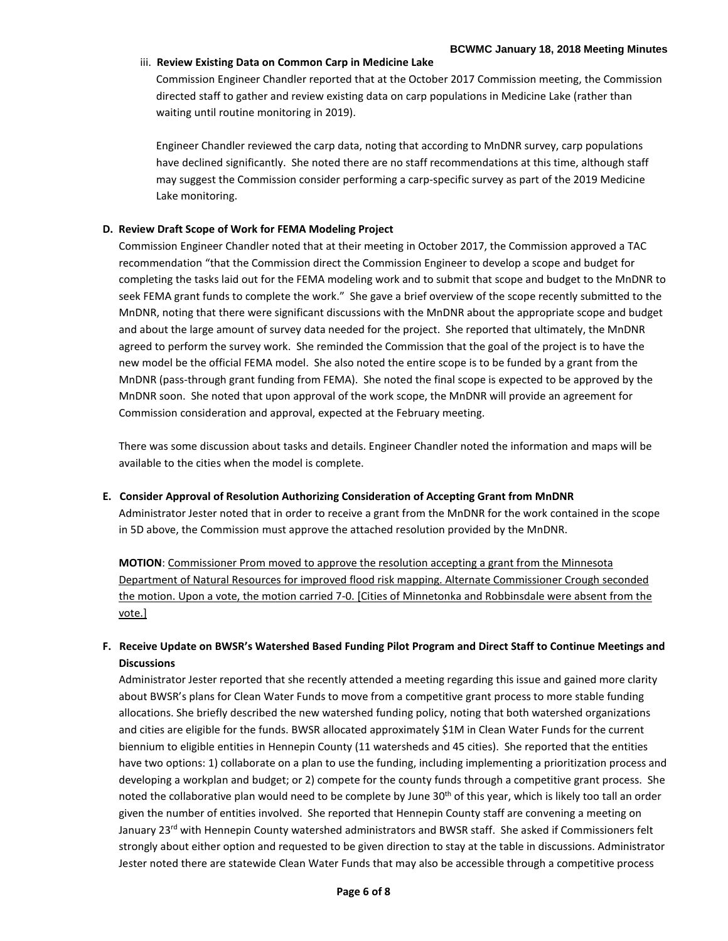### iii. **Review Existing Data on Common Carp in Medicine Lake**

Commission Engineer Chandler reported that at the October 2017 Commission meeting, the Commission directed staff to gather and review existing data on carp populations in Medicine Lake (rather than waiting until routine monitoring in 2019).

Engineer Chandler reviewed the carp data, noting that according to MnDNR survey, carp populations have declined significantly. She noted there are no staff recommendations at this time, although staff may suggest the Commission consider performing a carp-specific survey as part of the 2019 Medicine Lake monitoring.

### **D. Review Draft Scope of Work for FEMA Modeling Project**

Commission Engineer Chandler noted that at their meeting in October 2017, the Commission approved a TAC recommendation "that the Commission direct the Commission Engineer to develop a scope and budget for completing the tasks laid out for the FEMA modeling work and to submit that scope and budget to the MnDNR to seek FEMA grant funds to complete the work." She gave a brief overview of the scope recently submitted to the MnDNR, noting that there were significant discussions with the MnDNR about the appropriate scope and budget and about the large amount of survey data needed for the project. She reported that ultimately, the MnDNR agreed to perform the survey work. She reminded the Commission that the goal of the project is to have the new model be the official FEMA model. She also noted the entire scope is to be funded by a grant from the MnDNR (pass-through grant funding from FEMA). She noted the final scope is expected to be approved by the MnDNR soon. She noted that upon approval of the work scope, the MnDNR will provide an agreement for Commission consideration and approval, expected at the February meeting.

There was some discussion about tasks and details. Engineer Chandler noted the information and maps will be available to the cities when the model is complete.

#### **E. Consider Approval of Resolution Authorizing Consideration of Accepting Grant from MnDNR**

Administrator Jester noted that in order to receive a grant from the MnDNR for the work contained in the scope in 5D above, the Commission must approve the attached resolution provided by the MnDNR.

**MOTION**: Commissioner Prom moved to approve the resolution accepting a grant from the Minnesota Department of Natural Resources for improved flood risk mapping. Alternate Commissioner Crough seconded the motion. Upon a vote, the motion carried 7-0. [Cities of Minnetonka and Robbinsdale were absent from the vote.]

# **F. Receive Update on BWSR's Watershed Based Funding Pilot Program and Direct Staff to Continue Meetings and Discussions**

Administrator Jester reported that she recently attended a meeting regarding this issue and gained more clarity about BWSR's plans for Clean Water Funds to move from a competitive grant process to more stable funding allocations. She briefly described the new watershed funding policy, noting that both watershed organizations and cities are eligible for the funds. BWSR allocated approximately \$1M in Clean Water Funds for the current biennium to eligible entities in Hennepin County (11 watersheds and 45 cities). She reported that the entities have two options: 1) collaborate on a plan to use the funding, including implementing a prioritization process and developing a workplan and budget; or 2) compete for the county funds through a competitive grant process. She noted the collaborative plan would need to be complete by June 30<sup>th</sup> of this year, which is likely too tall an order given the number of entities involved. She reported that Hennepin County staff are convening a meeting on January 23<sup>rd</sup> with Hennepin County watershed administrators and BWSR staff. She asked if Commissioners felt strongly about either option and requested to be given direction to stay at the table in discussions. Administrator Jester noted there are statewide Clean Water Funds that may also be accessible through a competitive process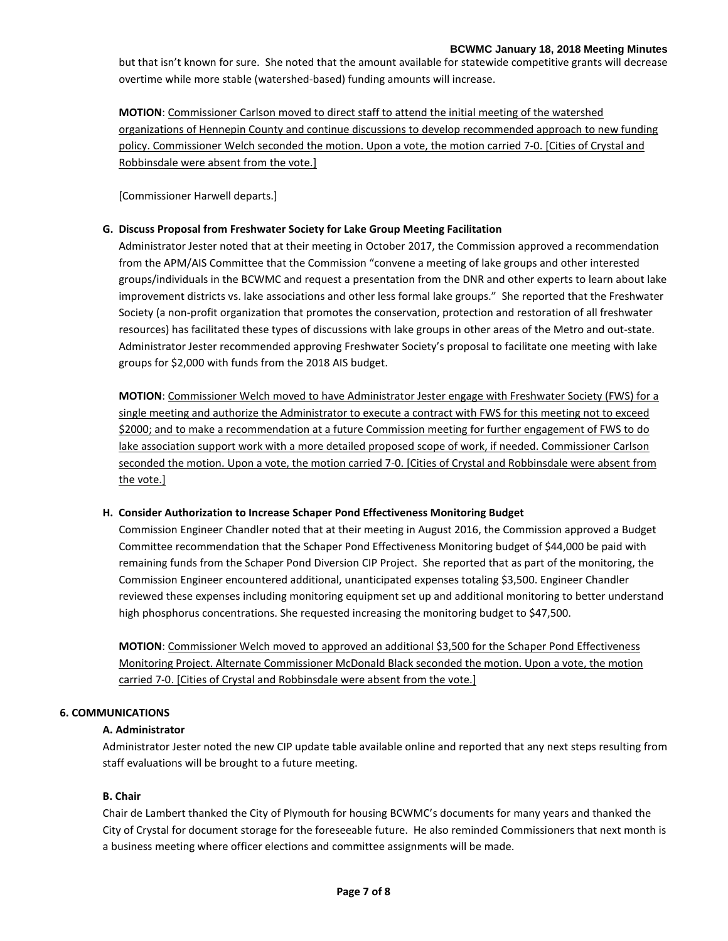but that isn't known for sure. She noted that the amount available for statewide competitive grants will decrease overtime while more stable (watershed-based) funding amounts will increase.

**MOTION**: Commissioner Carlson moved to direct staff to attend the initial meeting of the watershed organizations of Hennepin County and continue discussions to develop recommended approach to new funding policy. Commissioner Welch seconded the motion. Upon a vote, the motion carried 7-0. [Cities of Crystal and Robbinsdale were absent from the vote.]

[Commissioner Harwell departs.]

### **G. Discuss Proposal from Freshwater Society for Lake Group Meeting Facilitation**

Administrator Jester noted that at their meeting in October 2017, the Commission approved a recommendation from the APM/AIS Committee that the Commission "convene a meeting of lake groups and other interested groups/individuals in the BCWMC and request a presentation from the DNR and other experts to learn about lake improvement districts vs. lake associations and other less formal lake groups." She reported that the Freshwater Society (a non-profit organization that promotes the conservation, protection and restoration of all freshwater resources) has facilitated these types of discussions with lake groups in other areas of the Metro and out-state. Administrator Jester recommended approving Freshwater Society's proposal to facilitate one meeting with lake groups for \$2,000 with funds from the 2018 AIS budget.

**MOTION**: Commissioner Welch moved to have Administrator Jester engage with Freshwater Society (FWS) for a single meeting and authorize the Administrator to execute a contract with FWS for this meeting not to exceed \$2000; and to make a recommendation at a future Commission meeting for further engagement of FWS to do lake association support work with a more detailed proposed scope of work, if needed. Commissioner Carlson seconded the motion. Upon a vote, the motion carried 7-0. [Cities of Crystal and Robbinsdale were absent from the vote.]

### **H. Consider Authorization to Increase Schaper Pond Effectiveness Monitoring Budget**

Commission Engineer Chandler noted that at their meeting in August 2016, the Commission approved a Budget Committee recommendation that the Schaper Pond Effectiveness Monitoring budget of \$44,000 be paid with remaining funds from the Schaper Pond Diversion CIP Project. She reported that as part of the monitoring, the Commission Engineer encountered additional, unanticipated expenses totaling \$3,500. Engineer Chandler reviewed these expenses including monitoring equipment set up and additional monitoring to better understand high phosphorus concentrations. She requested increasing the monitoring budget to \$47,500.

**MOTION**: Commissioner Welch moved to approved an additional \$3,500 for the Schaper Pond Effectiveness Monitoring Project. Alternate Commissioner McDonald Black seconded the motion. Upon a vote, the motion carried 7-0. [Cities of Crystal and Robbinsdale were absent from the vote.]

### **6. COMMUNICATIONS**

### **A. Administrator**

Administrator Jester noted the new CIP update table available online and reported that any next steps resulting from staff evaluations will be brought to a future meeting.

### **B. Chair**

Chair de Lambert thanked the City of Plymouth for housing BCWMC's documents for many years and thanked the City of Crystal for document storage for the foreseeable future. He also reminded Commissioners that next month is a business meeting where officer elections and committee assignments will be made.